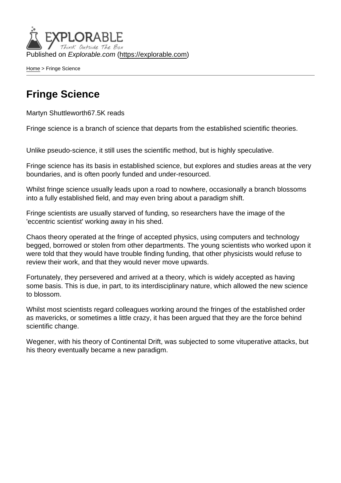Published on Explorable.com (<https://explorable.com>)

[Home](https://explorable.com/) > Fringe Science

## Fringe Science

Martyn Shuttleworth67.5K reads

Fringe science is a branch of science that departs from the established scientific theories.

Unlike pseudo-science, it still uses the scientific method, but is highly speculative.

Fringe science has its basis in established science, but explores and studies areas at the very boundaries, and is often poorly funded and under-resourced.

Whilst fringe science usually leads upon a road to nowhere, occasionally a branch blossoms into a fully established field, and may even bring about a paradigm shift.

Fringe scientists are usually starved of funding, so researchers have the image of the 'eccentric scientist' working away in his shed.

Chaos theory operated at the fringe of accepted physics, using computers and technology begged, borrowed or stolen from other departments. The young scientists who worked upon it were told that they would have trouble finding funding, that other physicists would refuse to review their work, and that they would never move upwards.

Fortunately, they persevered and arrived at a theory, which is widely accepted as having some basis. This is due, in part, to its interdisciplinary nature, which allowed the new science to blossom.

Whilst most scientists regard colleagues working around the fringes of the established order as mavericks, or sometimes a little crazy, it has been argued that they are the force behind scientific change.

Wegener, with his theory of Continental Drift, was subjected to some vituperative attacks, but his theory eventually became a new paradigm.